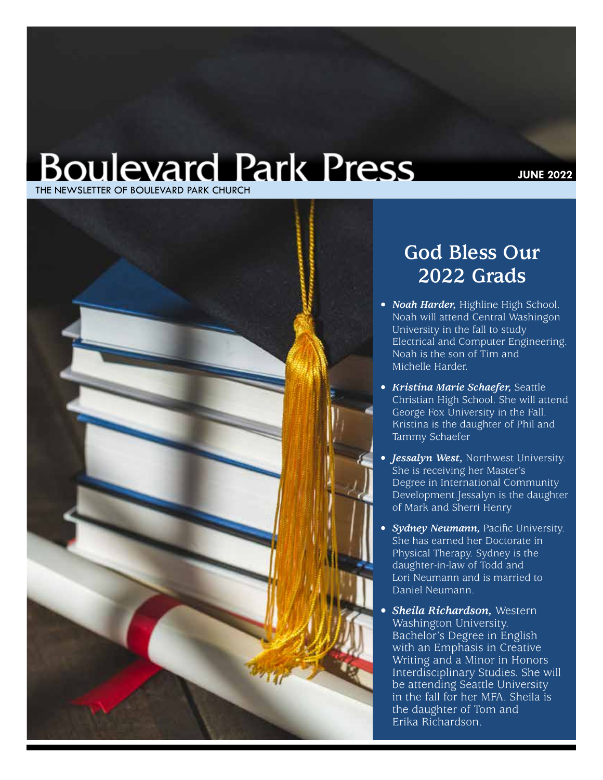## **Boulevard Park Press** THE NEWSLETTER OF BOULEVARD PARK CHURCH



## **God Bless Our 2022 Grads**

- *• Noah Harder,* Highline High School. Noah will attend Central Washingon University in the fall to study Electrical and Computer Engineering. Noah is the son of Tim and Michelle Harder.
- *• Kristina Marie Schaefer,* Seattle Christian High School. She will attend George Fox University in the Fall. Kristina is the daughter of Phil and Tammy Schaefer
- *• Jessalyn West,* Northwest University. She is receiving her Master's Degree in International Community Development.Jessalyn is the daughter of Mark and Sherri Henry
- *• Sydney Neumann,* Pacific University. She has earned her Doctorate in Physical Therapy. Sydney is the daughter-in-law of Todd and Lori Neumann and is married to Daniel Neumann.
- *• Sheila Richardson,* Western Washington University. Bachelor's Degree in English with an Emphasis in Creative Writing and a Minor in Honors Interdisciplinary Studies. She will be attending Seattle University in the fall for her MFA. Sheila is the daughter of Tom and Erika Richardson.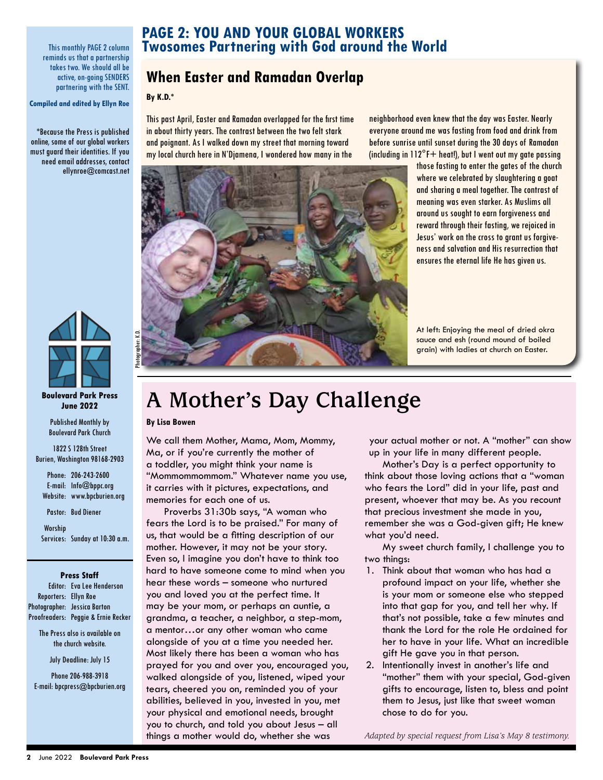This monthly PAGE 2 column reminds us that a partnership takes two. We should all be active, on-going SENDERS partnering with the SENT.

**Compiled and edited by Ellyn Roe**

\*Because the Press is published online, some of our global workers must guard their identities. If you need email addresses, contact ellynroe@comcast.net



#### **Boulevard Park Press June 2022**

Published Monthly by Boulevard Park Church

1822 S 128th Street Burien, Washington 98168-2903

Phone: 206-243-2600 E-mail: Info@bppc.org Website: www.bpcburien.org

Pastor: Bud Diener

Worship Services: Sunday at 10:30 a.m.

#### **Press Staff**

Editor: Eva Lee Henderson Reporters: Ellyn Roe Photographer: Jessica Barton Proofreaders: Peggie & Ernie Recker

> The Press also is available on the church website.

> > July Deadline: July 15

Phone 206-988-3918 E-mail: bpcpress@bpcburien.org

### **PAGE 2: YOU AND YOUR GLOBAL WORKERS Twosomes Partnering with God around the World**

### **When Easter and Ramadan Overlap**

### **By K.D.\***

This past April, Easter and Ramadan overlapped for the first time in about thirty years. The contrast between the two felt stark and poignant. As I walked down my street that morning toward my local church here in N'Djamena, I wondered how many in the

neighborhood even knew that the day was Easter. Nearly everyone around me was fasting from food and drink from before sunrise until sunset during the 30 days of Ramadan (including in  $112^{\circ}$ F+ heat!), but I went out my gate passing



those fasting to enter the gates of the church where we celebrated by slaughtering a goat and sharing a meal together. The contrast of meaning was even starker. As Muslims all around us sought to earn forgiveness and reward through their fasting, we rejoiced in Jesus' work on the cross to grant us forgiveness and salvation and His resurrection that ensures the eternal life He has given us.

At left: Enjoying the meal of dried okra sauce and esh (round mound of boiled grain) with ladies at church on Easter.

## **A Mother's Day Challenge**

**By Lisa Bowen**

We call them Mother, Mama, Mom, Mommy, Ma, or if you're currently the mother of a toddler, you might think your name is "Mommommommom." Whatever name you use, it carries with it pictures, expectations, and memories for each one of us.

Proverbs 31:30b says, "A woman who fears the Lord is to be praised." For many of us, that would be a fitting description of our mother. However, it may not be your story. Even so, I imagine you don't have to think too hard to have someone come to mind when you hear these words – someone who nurtured you and loved you at the perfect time. It may be your mom, or perhaps an auntie, a grandma, a teacher, a neighbor, a step-mom, a mentor…or any other woman who came alongside of you at a time you needed her. Most likely there has been a woman who has prayed for you and over you, encouraged you, walked alongside of you, listened, wiped your tears, cheered you on, reminded you of your abilities, believed in you, invested in you, met your physical and emotional needs, brought you to church, and told you about Jesus – all things a mother would do, whether she was

your actual mother or not. A "mother" can show up in your life in many different people.

Mother's Day is a perfect opportunity to think about those loving actions that a "woman who fears the Lord" did in your life, past and present, whoever that may be. As you recount that precious investment she made in you, remember she was a God-given gift; He knew what you'd need.

My sweet church family, I challenge you to two things:

- 1. Think about that woman who has had a profound impact on your life, whether she is your mom or someone else who stepped into that gap for you, and tell her why. If that's not possible, take a few minutes and thank the Lord for the role He ordained for her to have in your life. What an incredible gift He gave you in that person.
- 2. Intentionally invest in another's life and "mother" them with your special, God-given gifts to encourage, listen to, bless and point them to Jesus, just like that sweet woman chose to do for you.

*Adapted by special request from Lisa's May 8 testimony.*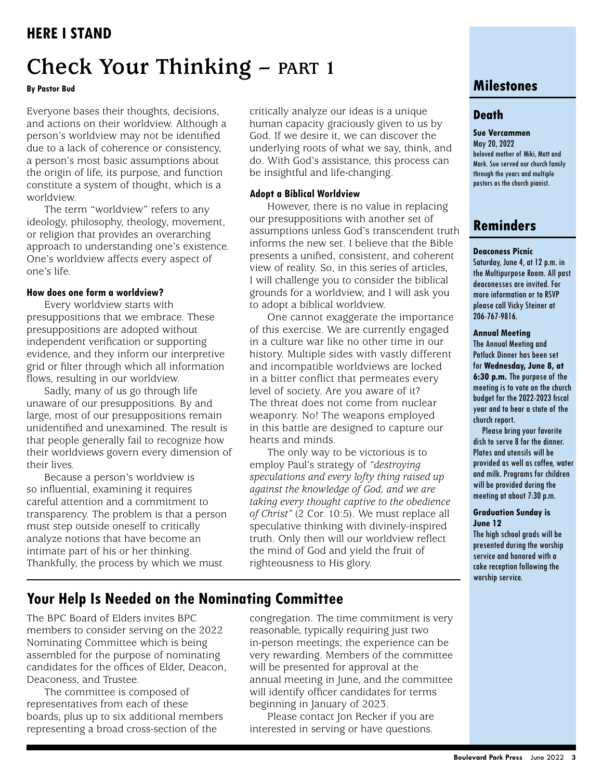## **Check Your Thinking – PART 1**

### **By Pastor Bud**

Everyone bases their thoughts, decisions, and actions on their worldview. Although a person's worldview may not be identified due to a lack of coherence or consistency, a person's most basic assumptions about the origin of life, its purpose, and function constitute a system of thought, which is a worldview.

The term "worldview" refers to any ideology, philosophy, theology, movement, or religion that provides an overarching approach to understanding one's existence. One's worldview affects every aspect of one's life.

### **How does one form a worldview?**

Every worldview starts with presuppositions that we embrace. These presuppositions are adopted without independent verification or supporting evidence, and they inform our interpretive grid or filter through which all information flows, resulting in our worldview.

Sadly, many of us go through life unaware of our presuppositions. By and large, most of our presuppositions remain unidentified and unexamined. The result is that people generally fail to recognize how their worldviews govern every dimension of their lives.

Because a person's worldview is so influential, examining it requires careful attention and a commitment to transparency. The problem is that a person must step outside oneself to critically analyze notions that have become an intimate part of his or her thinking. Thankfully, the process by which we must

critically analyze our ideas is a unique human capacity graciously given to us by God. If we desire it, we can discover the underlying roots of what we say, think, and do. With God's assistance, this process can be insightful and life-changing.

### **Adopt a Biblical Worldview**

However, there is no value in replacing our presuppositions with another set of assumptions unless God's transcendent truth informs the new set. I believe that the Bible presents a unified, consistent, and coherent view of reality. So, in this series of articles, I will challenge you to consider the biblical grounds for a worldview, and I will ask you to adopt a biblical worldview.

One cannot exaggerate the importance of this exercise. We are currently engaged in a culture war like no other time in our history. Multiple sides with vastly different and incompatible worldviews are locked in a bitter conflict that permeates every level of society. Are you aware of it? The threat does not come from nuclear weaponry. No! The weapons employed in this battle are designed to capture our hearts and minds.

The only way to be victorious is to employ Paul's strategy of *"destroying speculations and every lofty thing raised up against the knowledge of God, and we are taking every thought captive to the obedience of Christ"* (2 Cor. 10:5). We must replace all speculative thinking with divinely-inspired truth. Only then will our worldview reflect the mind of God and yield the fruit of righteousness to His glory.

### **Milestones**

### **Death**

**Sue Vercammen** May 20, 2022 beloved mother of Miki, Matt and Mark. Sue served our church family through the years and multiple pastors as the church pianist.

### **Reminders**

#### **Deaconess Picnic**

Saturday, June 4, at 12 p.m. in the Multipurpose Room. All past deaconesses are invited. For more information or to RSVP please call Vicky Steiner at 206-767-9816.

#### **Annual Meeting**

The Annual Meeting and Potluck Dinner has been set for **Wednesday, June 8, at 6:30 p.m.** The purpose of the meeting is to vote on the church budget for the 2022-2023 fiscal year and to hear a state of the church report.

Please bring your favorite dish to serve 8 for the dinner. Plates and utensils will be provided as well as coffee, water and milk. Programs for children will be provided during the meeting at about 7:30 p.m.

#### **Graduation Sunday is June 12**

The high school grads will be presented during the worship service and honored with a cake reception following the worship service.

### **Your Help Is Needed on the Nominating Committee**

The BPC Board of Elders invites BPC members to consider serving on the 2022 Nominating Committee which is being assembled for the purpose of nominating candidates for the offices of Elder, Deacon, Deaconess, and Trustee.

The committee is composed of representatives from each of these boards, plus up to six additional members representing a broad cross-section of the

congregation. The time commitment is very reasonable, typically requiring just two in-person meetings; the experience can be very rewarding. Members of the committee will be presented for approval at the annual meeting in June, and the committee will identify officer candidates for terms beginning in January of 2023.

Please contact Jon Recker if you are interested in serving or have questions.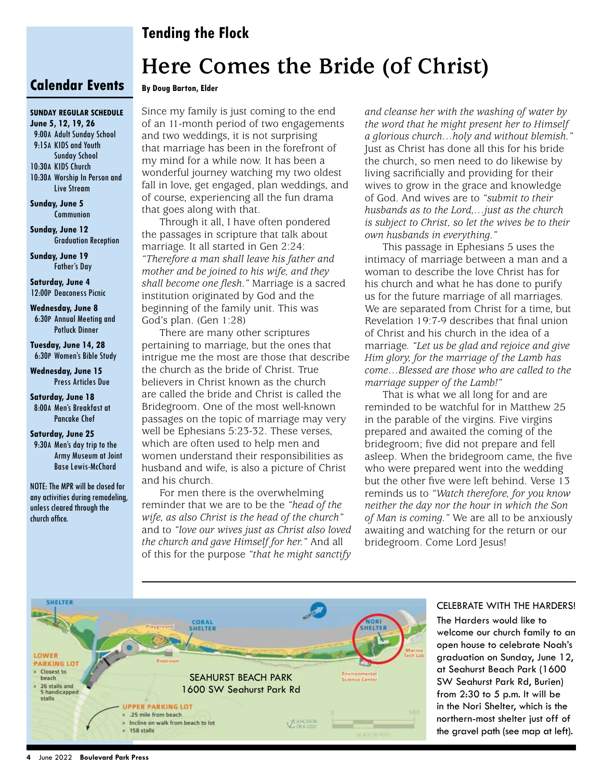### **Tending the Flock**

## **Here Comes the Bride (of Christ)**

#### **Calendar Events By Doug Barton, Elder**

### **sunday regular schedule**

**June 5, 12, 19, 26** 9:00a Adult Sunday School 9:15a KIDS and Youth Sunday School 10:30a KIDS Church 10:30a Worship In Person and

Live Stream

**Sunday, June 5**  Communion

**Sunday, June 12**  Graduation Reception

**Sunday, June 19**  Father's Day

**Saturday, June 4** 12:00p Deaconess Picnic

**Wednesday, June 8**  6:30p Annual Meeting and Potluck Dinner

**Tuesday, June 14, 28**  6:30p Women's Bible Study

**Wednesday, June 15**  Press Articles Due

**Saturday, June 18**  8:00a Men's Breakfast at Pancake Chef

**Saturday, June 25** 9:30a Men's day trip to the Army Museum at Joint Base Lewis-McChord

NOTE: The MPR will be closed for any activities during remodeling, unless cleared through the church office.

Since my family is just coming to the end of an 11-month period of two engagements and two weddings, it is not surprising that marriage has been in the forefront of my mind for a while now. It has been a wonderful journey watching my two oldest fall in love, get engaged, plan weddings, and of course, experiencing all the fun drama that goes along with that.

Through it all, I have often pondered the passages in scripture that talk about marriage. It all started in Gen 2:24: *"Therefore a man shall leave his father and mother and be joined to his wife, and they shall become one flesh."* Marriage is a sacred institution originated by God and the beginning of the family unit. This was God's plan. (Gen 1:28)

There are many other scriptures pertaining to marriage, but the ones that intrigue me the most are those that describe the church as the bride of Christ. True believers in Christ known as the church are called the bride and Christ is called the Bridegroom. One of the most well-known passages on the topic of marriage may very well be Ephesians 5:23-32. These verses, which are often used to help men and women understand their responsibilities as husband and wife, is also a picture of Christ and his church.

For men there is the overwhelming reminder that we are to be the *"head of the wife, as also Christ is the head of the church"* and to *"love our wives just as Christ also loved the church and gave Himself for her."* And all of this for the purpose *"that he might sanctify*  *and cleanse her with the washing of water by the word that he might present her to Himself a glorious church…holy and without blemish."* Just as Christ has done all this for his bride the church, so men need to do likewise by living sacrificially and providing for their wives to grow in the grace and knowledge of God. And wives are to *"submit to their husbands as to the Lord,…just as the church is subject to Christ, so let the wives be to their own husbands in everything."*

This passage in Ephesians 5 uses the intimacy of marriage between a man and a woman to describe the love Christ has for his church and what he has done to purify us for the future marriage of all marriages. We are separated from Christ for a time, but Revelation 19:7-9 describes that final union of Christ and his church in the idea of a marriage. *"Let us be glad and rejoice and give Him glory, for the marriage of the Lamb has come…Blessed are those who are called to the marriage supper of the Lamb!"*

That is what we all long for and are reminded to be watchful for in Matthew 25 in the parable of the virgins. Five virgins prepared and awaited the coming of the bridegroom; five did not prepare and fell asleep. When the bridegroom came, the five who were prepared went into the wedding but the other five were left behind. Verse 13 reminds us to *"Watch therefore, for you know neither the day nor the hour in which the Son of Man is coming."* We are all to be anxiously awaiting and watching for the return or our bridegroom. Come Lord Jesus!



### CELEBRATE WITH THE HARDERS!

The Harders would like to welcome our church family to an open house to celebrate Noah's graduation on Sunday, June 12, at Seahurst Beach Park (1600 SW Seahurst Park Rd, Burien) from 2:30 to 5 p.m. It will be in the Nori Shelter, which is the northern-most shelter just off of the gravel path (see map at left).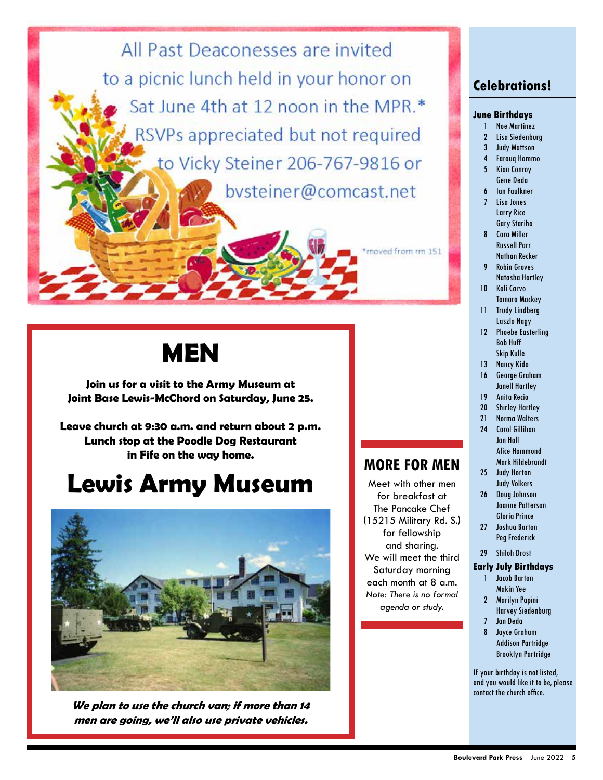All Past Deaconesses are invited to a picnic lunch held in your honor on Sat June 4th at 12 noon in the MPR.\* RSVPs appreciated but not required to Vicky Steiner 206-767-9816 or bysteiner@comcast.net

**MEN**

**Join us for a visit to the Army Museum at Joint Base Lewis-McChord on Saturday, June 25.** 

**Leave church at 9:30 a.m. and return about 2 p.m. Lunch stop at the Poodle Dog Restaurant in Fife on the way home.** 

## **Lewis Army Museum**



**We plan to use the church van; if more than 14 men are going, we'll also use private vehicles.** 

### **Celebrations!**

#### **June Birthdays**

- 1 Noe Martinez
- 2 Lisa Siedenburg
- 3 Judy Mattson 4 Farouq Hammo
- 5 Kian Conroy Gene Deda
- 6 Ian Faulkner 7 Lisa Jones
- Larry Rice Gary Stariha
- 8 Cora Miller Russell Parr Nathan Recker
- 9 Robin Groves Natasha Hartley
- 10 Kali Carvo Tamara Mackey
- 11 Trudy Lindberg Laszlo Nagy
- 12 Phoebe Easterling Bob Huff Skip Kulle
- 13 Nancy Kido
- 16 George Graham Janell Hartley
- 19 Anita Recio
- 20 Shirley Hartley
- 21 Norma Walters
- 24 Carol Gillihan Jan Hall Alice Hammond Mark Hildebrandt
- 25 Judy Horton Judy Volkers

**MORE FOR MEN** Meet with other men for breakfast at The Pancake Chef (15215 Military Rd. S.) for fellowship and sharing. We will meet the third Saturday morning each month at 8 a.m. *Note: There is no formal agenda or study.*

\*moved from rm 1511

- 26 Doug Johnson Joanne Patterson Gloria Prince
- 27 Joshua Barton Peg Frederick
- 29 Shiloh Drost

#### **Early July Birthdays**

- 1 Jacob Barton Makin Yee
- 2 Marilyn Papini Harvey Siedenburg
- 7 Jan Deda
- 8 Jayce Graham Addison Partridge Brooklyn Partridge

If your birthday is not listed, and you would like it to be, please contact the church office.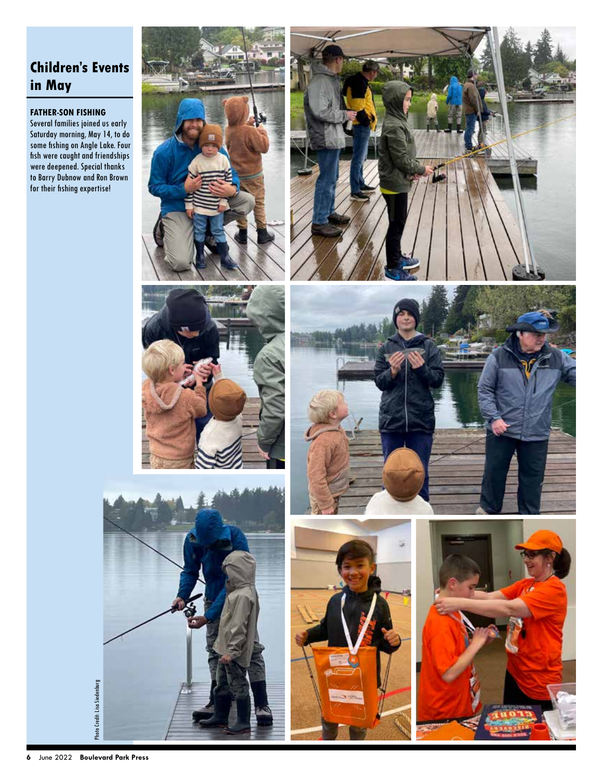### **Children's Events in May**

### **FATHER-SON FISHING**

Several families joined us early Saturday morning, May 14, to do some fishing on Angle Lake. Four fish were caught and friendships were deepened. Special thanks to Barry Dubnow and Ron Brown for their fishing expertise!











Photo Credit: Lisa Siedenburg Photo Credit: Lisa Siedenburg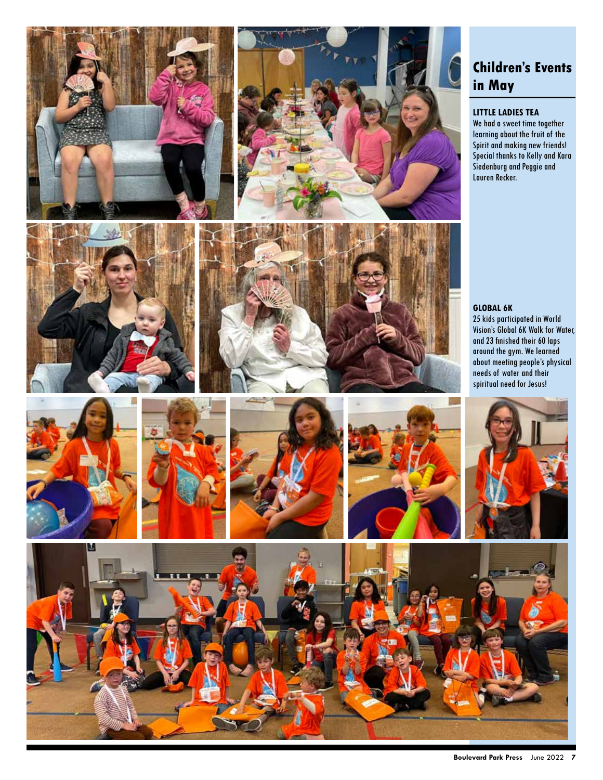











## **Children's Events in May**

### **LITTLE LADIES TEA**

We had a sweet time together learning about the fruit of the Spirit and making new friends! Special thanks to Kelly and Kara Siedenburg and Peggie and Lauren Recker.

### **GLOBAL 6K**

25 kids participated in World Vision's Global 6K Walk for Water, and 23 finished their 60 laps around the gym. We learned about meeting people's physical needs of water and their spiritual need for Jesus!